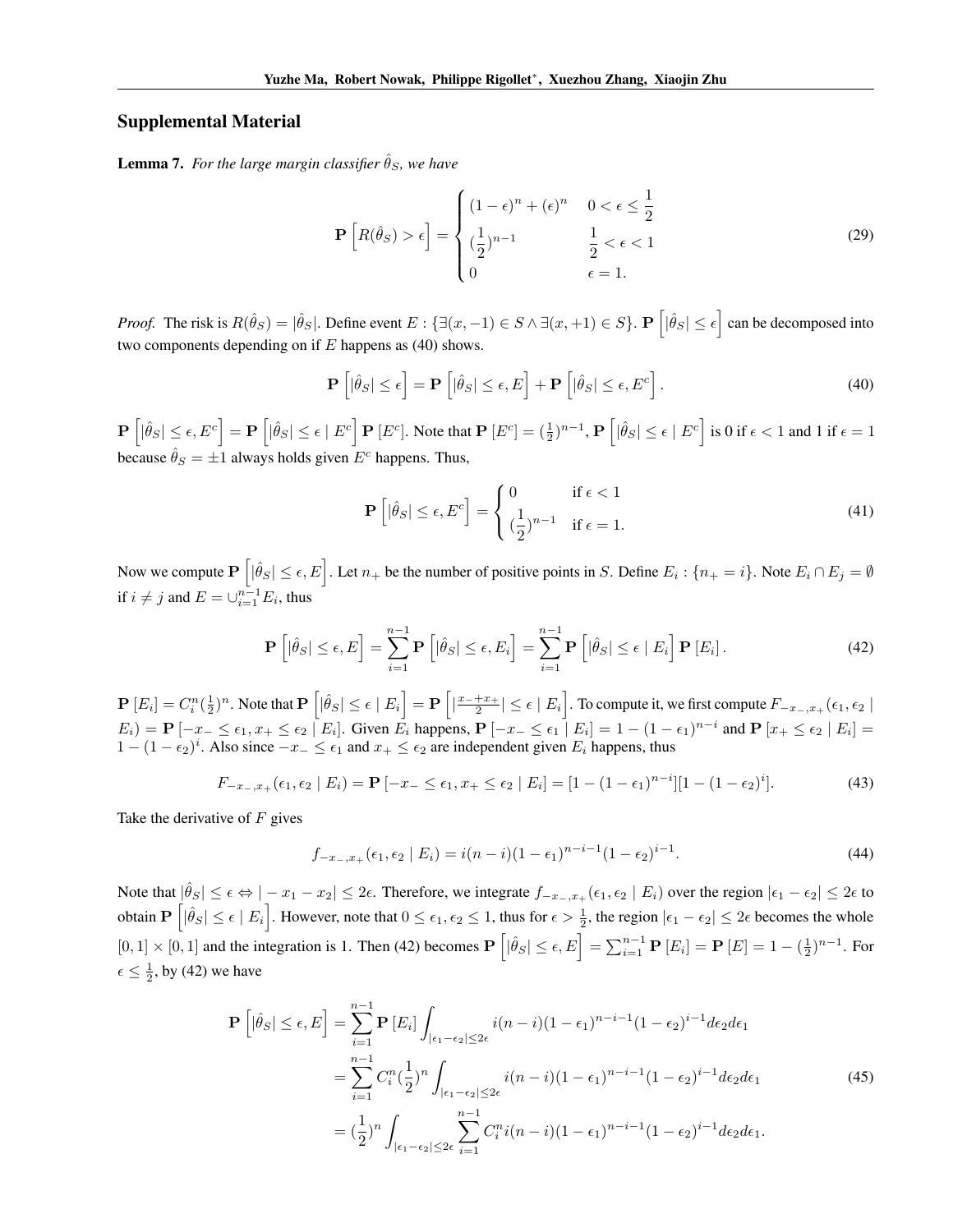## Supplemental Material

**Lemma 7.** For the large margin classifier  $\hat{\theta}_S$ , we have

$$
\mathbf{P}\left[R(\hat{\theta}_S) > \epsilon\right] = \begin{cases} (1-\epsilon)^n + (\epsilon)^n & 0 < \epsilon \le \frac{1}{2} \\ \left(\frac{1}{2}\right)^{n-1} & \frac{1}{2} < \epsilon < 1 \\ 0 & \epsilon = 1. \end{cases} \tag{29}
$$

*Proof.* The risk is  $R(\hat{\theta}_S) = |\hat{\theta}_S|$ . Define event  $E : \{ \exists (x, -1) \in S \land \exists (x, +1) \in S \}$ .  $\mathbf{P}\left[ |\hat{\theta}_S| \le \epsilon \right]$  can be decomposed into two components depending on if *E* happens as (40) shows.

$$
\mathbf{P}\left[|\hat{\theta}_S| \leq \epsilon\right] = \mathbf{P}\left[|\hat{\theta}_S| \leq \epsilon, E\right] + \mathbf{P}\left[|\hat{\theta}_S| \leq \epsilon, E^c\right].\tag{40}
$$

 $\mathbf{P}\left[|\hat{\theta}_S| \leq \epsilon, E^c\right] = \mathbf{P}\left[|\hat{\theta}_S| \leq \epsilon \mid E^c\right] \mathbf{P}\left[E^c\right]$ . Note that  $\mathbf{P}\left[E^c\right] = \left(\frac{1}{2}\right)^{n-1}, \mathbf{P}\left[|\hat{\theta}_S| \leq \epsilon \mid E^c\right]$  is 0 if  $\epsilon < 1$  and 1 if  $\epsilon = 1$ because  $\hat{\theta}_S = \pm 1$  always holds given  $E^c$  happens. Thus,

$$
\mathbf{P}\left[|\hat{\theta}_S| \le \epsilon, E^c\right] = \begin{cases} 0 & \text{if } \epsilon < 1\\ (\frac{1}{2})^{n-1} & \text{if } \epsilon = 1. \end{cases} \tag{41}
$$

Now we compute  $\mathbf{P}\left[|\hat{\theta}_S| \leq \epsilon, E\right]$ . Let  $n_+$  be the number of positive points in S. Define  $E_i$  :  $\{n_+ = i\}$ . Note  $E_i \cap E_j = \emptyset$ if  $i \neq j$  and  $E = \bigcup_{i=1}^{n-1} E_i$ , thus

$$
\mathbf{P}\left[|\hat{\theta}_S| \leq \epsilon, E\right] = \sum_{i=1}^{n-1} \mathbf{P}\left[|\hat{\theta}_S| \leq \epsilon, E_i\right] = \sum_{i=1}^{n-1} \mathbf{P}\left[|\hat{\theta}_S| \leq \epsilon \mid E_i\right] \mathbf{P}\left[E_i\right].\tag{42}
$$

 $\mathbf{P}\left[E_i\right] = C_i^n(\frac{1}{2})^n$ . Note that  $\mathbf{P}\left[|\hat{\theta}_S| \leq \epsilon \mid E_i\right] = \mathbf{P}\left[$  $\left| \frac{x_-+x_+}{2} \right| \leq \epsilon \mid E_i$ . To compute it, we first compute  $F_{-x_-,x_+}(\epsilon_1,\epsilon_2)$  $E_i$ ) =  $P[-x_-\leq \epsilon_1, x_+\leq \epsilon_2 | E_i]$ . Given  $E_i$  happens,  $P[-x_-\leq \epsilon_1 | E_i] = 1 - (1 - \epsilon_1)^{n-i}$  and  $P[x_+\leq \epsilon_2 | E_i] =$  $1 - (1 - \epsilon_2)^i$ . Also since  $-x_- \leq \epsilon_1$  and  $x_+ \leq \epsilon_2$  are independent given  $E_i$  happens, thus

$$
F_{-x_{-},x_{+}}(\epsilon_{1},\epsilon_{2} \mid E_{i}) = \mathbf{P}\left[-x_{-} \leq \epsilon_{1}, x_{+} \leq \epsilon_{2} \mid E_{i}\right] = [1 - (1 - \epsilon_{1})^{n-i}][1 - (1 - \epsilon_{2})^{i}]. \tag{43}
$$

Take the derivative of *F* gives

$$
f_{-x_{-},x_{+}}(\epsilon_{1},\epsilon_{2} \mid E_{i}) = i(n-i)(1-\epsilon_{1})^{n-i-1}(1-\epsilon_{2})^{i-1}.
$$
\n(44)

Note that  $|\hat{\theta}_S| \leq \epsilon \Leftrightarrow |-x_1 - x_2| \leq 2\epsilon$ . Therefore, we integrate  $f_{-x_-,x_+}(\epsilon_1, \epsilon_2 | E_i)$  over the region  $|\epsilon_1 - \epsilon_2| \leq 2\epsilon$  to obtain  $\mathbf{P}\left[|\hat{\theta}_S| \leq \epsilon \mid E_i\right]$ . However, note that  $0 \leq \epsilon_1, \epsilon_2 \leq 1$ , thus for  $\epsilon > \frac{1}{2}$ , the region  $|\epsilon_1 - \epsilon_2| \leq 2\epsilon$  becomes the whole  $[0, 1] \times [0, 1]$  and the integration is 1. Then (42) becomes  $\mathbf{P}\left[|\hat{\theta}_S| \leq \epsilon, E\right] = \sum_{i=1}^{n-1} \mathbf{P}\left[E_i\right] = \mathbf{P}\left[E\right] = 1 - \left(\frac{1}{2}\right)^{n-1}$ . For  $\epsilon \leq \frac{1}{2}$ , by (42) we have

$$
\mathbf{P}\left[|\hat{\theta}_{S}| \leq \epsilon, E\right] = \sum_{i=1}^{n-1} \mathbf{P}\left[E_{i}\right] \int_{|\epsilon_{1}-\epsilon_{2}| \leq 2\epsilon} i(n-i)(1-\epsilon_{1})^{n-i-1}(1-\epsilon_{2})^{i-1} d\epsilon_{2} d\epsilon_{1}
$$
\n
$$
= \sum_{i=1}^{n-1} C_{i}^{n} \left(\frac{1}{2}\right)^{n} \int_{|\epsilon_{1}-\epsilon_{2}| \leq 2\epsilon} i(n-i)(1-\epsilon_{1})^{n-i-1}(1-\epsilon_{2})^{i-1} d\epsilon_{2} d\epsilon_{1}
$$
\n
$$
= \left(\frac{1}{2}\right)^{n} \int_{|\epsilon_{1}-\epsilon_{2}| \leq 2\epsilon} \sum_{i=1}^{n-1} C_{i}^{n} i(n-i)(1-\epsilon_{1})^{n-i-1}(1-\epsilon_{2})^{i-1} d\epsilon_{2} d\epsilon_{1}.
$$
\n(45)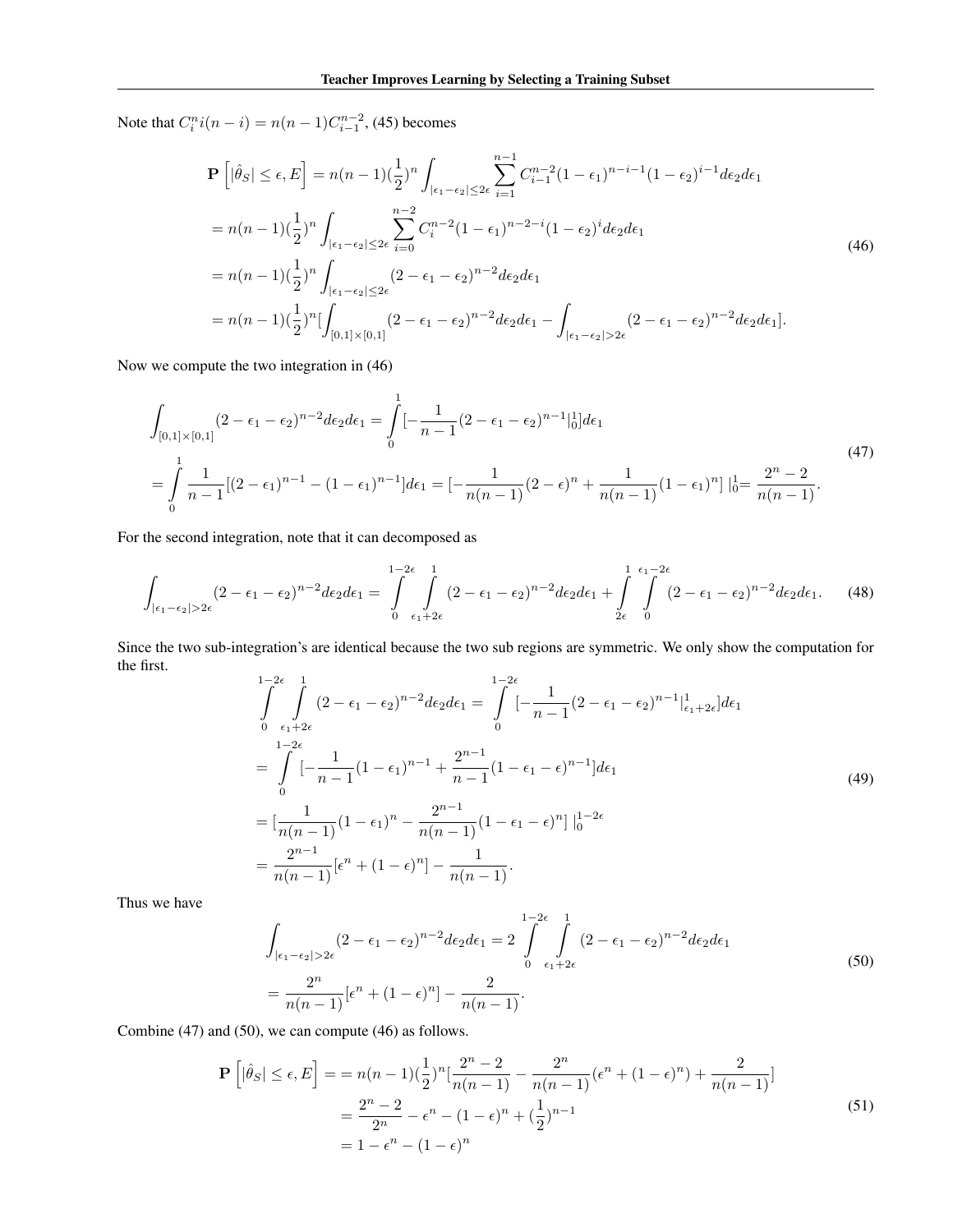Note that  $C_i^n i(n - i) = n(n - 1)C_{i-1}^{n-2}$ , (45) becomes

$$
\mathbf{P}\left[|\hat{\theta}_{S}| \leq \epsilon, E\right] = n(n-1)\left(\frac{1}{2}\right)^{n} \int_{|\epsilon_{1}-\epsilon_{2}| \leq 2\epsilon} \sum_{i=1}^{n-1} C_{i-1}^{n-2} (1-\epsilon_{1})^{n-i-1} (1-\epsilon_{2})^{i-1} d\epsilon_{2} d\epsilon_{1}
$$
\n
$$
= n(n-1)\left(\frac{1}{2}\right)^{n} \int_{|\epsilon_{1}-\epsilon_{2}| \leq 2\epsilon} \sum_{i=0}^{n-2} C_{i}^{n-2} (1-\epsilon_{1})^{n-2-i} (1-\epsilon_{2})^{i} d\epsilon_{2} d\epsilon_{1}
$$
\n
$$
= n(n-1)\left(\frac{1}{2}\right)^{n} \int_{|\epsilon_{1}-\epsilon_{2}| \leq 2\epsilon} (2-\epsilon_{1}-\epsilon_{2})^{n-2} d\epsilon_{2} d\epsilon_{1}
$$
\n
$$
= n(n-1)\left(\frac{1}{2}\right)^{n} \left[ \int_{[0,1] \times [0,1]} (2-\epsilon_{1}-\epsilon_{2})^{n-2} d\epsilon_{2} d\epsilon_{1} - \int_{|\epsilon_{1}-\epsilon_{2}| > 2\epsilon} (2-\epsilon_{1}-\epsilon_{2})^{n-2} d\epsilon_{2} d\epsilon_{1} \right].
$$
\n(46)

Now we compute the two integration in (46)

$$
\int_{[0,1]\times[0,1]} (2-\epsilon_1-\epsilon_2)^{n-2} d\epsilon_2 d\epsilon_1 = \int_0^1 \left[-\frac{1}{n-1} (2-\epsilon_1-\epsilon_2)^{n-1} \right]_0^1 d\epsilon_1
$$
\n
$$
= \int_0^1 \frac{1}{n-1} [(2-\epsilon_1)^{n-1} - (1-\epsilon_1)^{n-1}] d\epsilon_1 = \left[-\frac{1}{n(n-1)} (2-\epsilon)^n + \frac{1}{n(n-1)} (1-\epsilon_1)^n\right]_0^1 = \frac{2^n-2}{n(n-1)}.
$$
\n(47)

For the second integration, note that it can decomposed as

$$
\int_{|\epsilon_1-\epsilon_2|>2\epsilon} (2-\epsilon_1-\epsilon_2)^{n-2} d\epsilon_2 d\epsilon_1 = \int_{0}^{1-2\epsilon} \int_{\epsilon_1+2\epsilon}^{1} (2-\epsilon_1-\epsilon_2)^{n-2} d\epsilon_2 d\epsilon_1 + \int_{2\epsilon}^{1} \int_{0}^{\epsilon_1-2\epsilon} (2-\epsilon_1-\epsilon_2)^{n-2} d\epsilon_2 d\epsilon_1. \tag{48}
$$

Since the two sub-integration's are identical because the two sub regions are symmetric. We only show the computation for the first.

$$
\int_{0}^{1-2\epsilon} \int_{\epsilon_1+2\epsilon}^{1} (2-\epsilon_1-\epsilon_2)^{n-2} d\epsilon_2 d\epsilon_1 = \int_{0}^{1-2\epsilon} [-\frac{1}{n-1}(2-\epsilon_1-\epsilon_2)^{n-1}]_{\epsilon_1+2\epsilon}^{1} d\epsilon_1
$$
\n
$$
= \int_{0}^{1-2\epsilon} [-\frac{1}{n-1}(1-\epsilon_1)^{n-1} + \frac{2^{n-1}}{n-1}(1-\epsilon_1-\epsilon)^{n-1}] d\epsilon_1
$$
\n
$$
= [\frac{1}{n(n-1)}(1-\epsilon_1)^n - \frac{2^{n-1}}{n(n-1)}(1-\epsilon_1-\epsilon)^n] \Big|_{0}^{1-2\epsilon}
$$
\n
$$
= \frac{2^{n-1}}{n(n-1)} [\epsilon^n + (1-\epsilon)^n] - \frac{1}{n(n-1)}.
$$
\n(49)

Thus we have

$$
\int_{|\epsilon_1 - \epsilon_2| > 2\epsilon} (2 - \epsilon_1 - \epsilon_2)^{n-2} d\epsilon_2 d\epsilon_1 = 2 \int_{0}^{1-2\epsilon} \int_{\epsilon_1 + 2\epsilon}^{1} (2 - \epsilon_1 - \epsilon_2)^{n-2} d\epsilon_2 d\epsilon_1
$$
\n
$$
= \frac{2^n}{n(n-1)} [\epsilon^n + (1 - \epsilon)^n] - \frac{2}{n(n-1)}.
$$
\n(50)

Combine (47) and (50), we can compute (46) as follows.

$$
\mathbf{P}\left[|\hat{\theta}_S| \le \epsilon, E\right] = n(n-1)\left(\frac{1}{2}\right)^n \left[\frac{2^n - 2}{n(n-1)} - \frac{2^n}{n(n-1)}\left(\epsilon^n + (1-\epsilon)^n\right) + \frac{2}{n(n-1)}\right]
$$
  
= 
$$
\frac{2^n - 2}{2^n} - \epsilon^n - (1-\epsilon)^n + \left(\frac{1}{2}\right)^{n-1}
$$
  
= 
$$
1 - \epsilon^n - (1-\epsilon)^n
$$
 (51)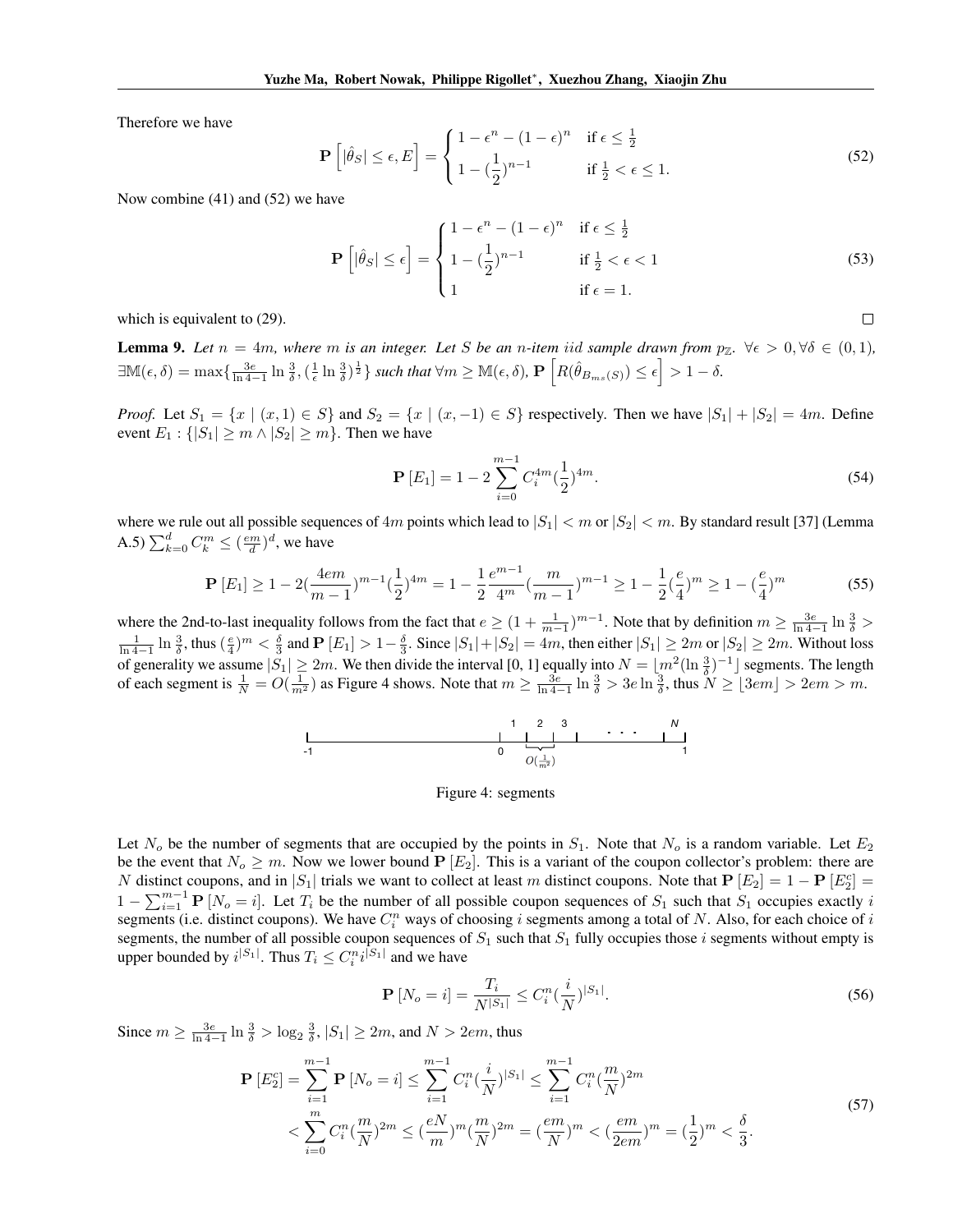Therefore we have

$$
\mathbf{P}\left[|\hat{\theta}_S| \le \epsilon, E\right] = \begin{cases} 1 - \epsilon^n - (1 - \epsilon)^n & \text{if } \epsilon \le \frac{1}{2} \\ 1 - (\frac{1}{2})^{n-1} & \text{if } \frac{1}{2} < \epsilon \le 1. \end{cases} \tag{52}
$$

Now combine (41) and (52) we have

$$
\mathbf{P}\left[|\hat{\theta}_S| \le \epsilon\right] = \begin{cases} 1 - \epsilon^n - (1 - \epsilon)^n & \text{if } \epsilon \le \frac{1}{2} \\ 1 - (\frac{1}{2})^{n-1} & \text{if } \frac{1}{2} < \epsilon < 1 \\ 1 & \text{if } \epsilon = 1. \end{cases} \tag{53}
$$

which is equivalent to (29).

**Lemma 9.** Let  $n = 4m$ , where m is an integer. Let S be an n-item iid sample drawn from  $p_{\mathbb{Z}}$ .  $\forall \epsilon > 0, \forall \delta \in (0,1)$ ,  $\exists \mathbb{M}(\epsilon, \delta) = \max\{\frac{3\epsilon}{\ln 4 - 1} \ln \frac{3}{\delta}, (\frac{1}{\epsilon} \ln \frac{3}{\delta})^{\frac{1}{2}}\}$  such that  $\forall m \geq \mathbb{M}(\epsilon, \delta)$ ,  $\mathbf{P}\left[R(\hat{\theta}_{B_{ms}(S)}) \leq \epsilon\right] > 1 - \delta$ .

*Proof.* Let  $S_1 = \{x \mid (x,1) \in S\}$  and  $S_2 = \{x \mid (x,-1) \in S\}$  respectively. Then we have  $|S_1| + |S_2| = 4m$ . Define event  $E_1$ :  $\{|S_1| \ge m \wedge |S_2| \ge m\}$ . Then we have

$$
\mathbf{P}\left[E_{1}\right] = 1 - 2\sum_{i=0}^{m-1} C_{i}^{4m} \left(\frac{1}{2}\right)^{4m}.\tag{54}
$$

 $\Box$ 

where we rule out all possible sequences of  $4m$  points which lead to  $|S_1| < m$  or  $|S_2| < m$ . By standard result [37] (Lemma A.5)  $\sum_{k=0}^{d} C_k^m \leq (\frac{em}{d})^d$ , we have

$$
\mathbf{P}\left[E_1\right] \ge 1 - 2\left(\frac{4em}{m-1}\right)^{m-1}\left(\frac{1}{2}\right)^{4m} = 1 - \frac{1}{2}\frac{e^{m-1}}{4^m}\left(\frac{m}{m-1}\right)^{m-1} \ge 1 - \frac{1}{2}\left(\frac{e}{4}\right)^m \ge 1 - \left(\frac{e}{4}\right)^m\tag{55}
$$

where the 2nd-to-last inequality follows from the fact that  $e \geq (1 + \frac{1}{m-1})^{m-1}$ . Note that by definition  $m \geq \frac{3e}{\ln 4 - 1} \ln \frac{3}{\delta} >$  $\frac{1}{\ln 4 - 1} \ln \frac{3}{\delta}$ , thus  $(\frac{e}{4})^m < \frac{\delta}{3}$  and  $\mathbf{P}[E_1] > 1 - \frac{\delta}{3}$ . Since  $|S_1| + |S_2| = 4m$ , then either  $|S_1| \ge 2m$  or  $|S_2| \ge 2m$ . Without loss of generality we assume  $|S_1| \ge 2m$ . We then divide the interval [0, 1] equally into  $N = \lfloor m^2(\ln \frac{3}{2})^{-1} \rfloor$  segments. The length of each segment is  $\frac{1}{N} = O(\frac{1}{m^2})$  as Figure 4 shows. Note that  $m \ge \frac{3e}{\ln 4 - 1} \ln \frac{3}{\delta} > 3e \ln \frac{3}{\delta}$ , thus  $N \ge \lfloor 3em \rfloor > 2em > m$ .



## Figure 4: segments

Let  $N<sub>o</sub>$  be the number of segments that are occupied by the points in  $S<sub>1</sub>$ . Note that  $N<sub>o</sub>$  is a random variable. Let  $E<sub>2</sub>$ be the event that  $N_o \geq m$ . Now we lower bound  $P[E_2]$ . This is a variant of the coupon collector's problem: there are *N* distinct coupons, and in  $|S_1|$  trials we want to collect at least *m* distinct coupons. Note that  $P[E_2] = 1 - P[E_2^c] =$  $1 - \sum_{i=1}^{m-1} P[N_o = i]$ . Let  $T_i$  be the number of all possible coupon sequences of  $S_1$  such that  $S_1$  occupies exactly *i* segments (i.e. distinct coupons). We have *C<sup>n</sup> <sup>i</sup>* ways of choosing *i* segments among a total of *N*. Also, for each choice of *i* segments, the number of all possible coupon sequences of  $S_1$  such that  $S_1$  fully occupies those *i* segments without empty is upper bounded by  $i^{|S_1|}$ . Thus  $T_i \leq C_i^n i^{|S_1|}$  and we have

$$
\mathbf{P}\left[N_o = i\right] = \frac{T_i}{N^{|S_1|}} \le C_i^n \left(\frac{i}{N}\right)^{|S_1|}.\tag{56}
$$

Since  $m \ge \frac{3e}{\ln 4 - 1} \ln \frac{3}{\delta} > \log_2 \frac{3}{\delta}, |S_1| \ge 2m$ , and  $N > 2em$ , thus

$$
\mathbf{P}\left[E_{2}^{c}\right] = \sum_{i=1}^{m-1} \mathbf{P}\left[N_{o} = i\right] \leq \sum_{i=1}^{m-1} C_{i}^{n} \left(\frac{i}{N}\right)^{|S_{1}|} \leq \sum_{i=1}^{m-1} C_{i}^{n} \left(\frac{m}{N}\right)^{2m}
$$
\n
$$
< \sum_{i=0}^{m} C_{i}^{n} \left(\frac{m}{N}\right)^{2m} \leq \left(\frac{eN}{m}\right)^{m} \left(\frac{m}{N}\right)^{2m} = \left(\frac{em}{N}\right)^{m} < \left(\frac{em}{2em}\right)^{m} = \left(\frac{1}{2}\right)^{m} < \frac{\delta}{3}.
$$
\n
$$
(57)
$$